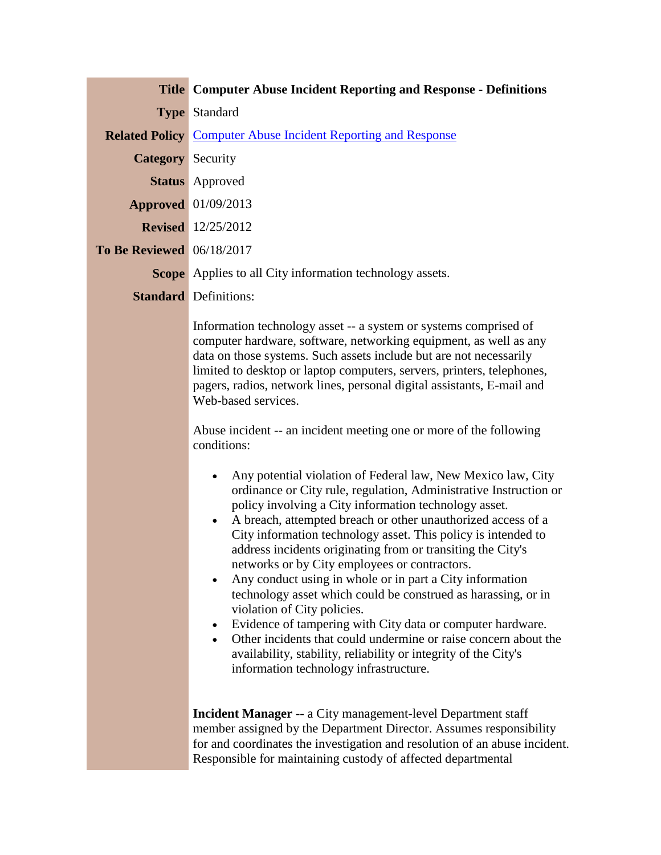|                                  | <b>Title Computer Abuse Incident Reporting and Response - Definitions</b>                                                                                                                                                                                                                                                                                                                                                                                                                                                                                                                                                                                                                                                                                                                                                                                                                                                                                                                                                                                                                                                                                                                                                                                                                                                                                                                             |
|----------------------------------|-------------------------------------------------------------------------------------------------------------------------------------------------------------------------------------------------------------------------------------------------------------------------------------------------------------------------------------------------------------------------------------------------------------------------------------------------------------------------------------------------------------------------------------------------------------------------------------------------------------------------------------------------------------------------------------------------------------------------------------------------------------------------------------------------------------------------------------------------------------------------------------------------------------------------------------------------------------------------------------------------------------------------------------------------------------------------------------------------------------------------------------------------------------------------------------------------------------------------------------------------------------------------------------------------------------------------------------------------------------------------------------------------------|
|                                  | <b>Type Standard</b>                                                                                                                                                                                                                                                                                                                                                                                                                                                                                                                                                                                                                                                                                                                                                                                                                                                                                                                                                                                                                                                                                                                                                                                                                                                                                                                                                                                  |
|                                  | <b>Related Policy</b> Computer Abuse Incident Reporting and Response                                                                                                                                                                                                                                                                                                                                                                                                                                                                                                                                                                                                                                                                                                                                                                                                                                                                                                                                                                                                                                                                                                                                                                                                                                                                                                                                  |
| <b>Category</b> Security         |                                                                                                                                                                                                                                                                                                                                                                                                                                                                                                                                                                                                                                                                                                                                                                                                                                                                                                                                                                                                                                                                                                                                                                                                                                                                                                                                                                                                       |
|                                  | <b>Status</b> Approved                                                                                                                                                                                                                                                                                                                                                                                                                                                                                                                                                                                                                                                                                                                                                                                                                                                                                                                                                                                                                                                                                                                                                                                                                                                                                                                                                                                |
|                                  | <b>Approved</b> 01/09/2013                                                                                                                                                                                                                                                                                                                                                                                                                                                                                                                                                                                                                                                                                                                                                                                                                                                                                                                                                                                                                                                                                                                                                                                                                                                                                                                                                                            |
|                                  | <b>Revised</b> 12/25/2012                                                                                                                                                                                                                                                                                                                                                                                                                                                                                                                                                                                                                                                                                                                                                                                                                                                                                                                                                                                                                                                                                                                                                                                                                                                                                                                                                                             |
| <b>To Be Reviewed</b> 06/18/2017 |                                                                                                                                                                                                                                                                                                                                                                                                                                                                                                                                                                                                                                                                                                                                                                                                                                                                                                                                                                                                                                                                                                                                                                                                                                                                                                                                                                                                       |
|                                  | <b>Scope</b> Applies to all City information technology assets.                                                                                                                                                                                                                                                                                                                                                                                                                                                                                                                                                                                                                                                                                                                                                                                                                                                                                                                                                                                                                                                                                                                                                                                                                                                                                                                                       |
|                                  | <b>Standard</b> Definitions:                                                                                                                                                                                                                                                                                                                                                                                                                                                                                                                                                                                                                                                                                                                                                                                                                                                                                                                                                                                                                                                                                                                                                                                                                                                                                                                                                                          |
|                                  | Information technology asset -- a system or systems comprised of<br>computer hardware, software, networking equipment, as well as any<br>data on those systems. Such assets include but are not necessarily<br>limited to desktop or laptop computers, servers, printers, telephones,<br>pagers, radios, network lines, personal digital assistants, E-mail and<br>Web-based services.<br>Abuse incident -- an incident meeting one or more of the following<br>conditions:<br>Any potential violation of Federal law, New Mexico law, City<br>$\bullet$<br>ordinance or City rule, regulation, Administrative Instruction or<br>policy involving a City information technology asset.<br>A breach, attempted breach or other unauthorized access of a<br>$\bullet$<br>City information technology asset. This policy is intended to<br>address incidents originating from or transiting the City's<br>networks or by City employees or contractors.<br>Any conduct using in whole or in part a City information<br>$\bullet$<br>technology asset which could be construed as harassing, or in<br>violation of City policies.<br>Evidence of tampering with City data or computer hardware.<br>$\bullet$<br>Other incidents that could undermine or raise concern about the<br>$\bullet$<br>availability, stability, reliability or integrity of the City's<br>information technology infrastructure. |
|                                  | <b>Incident Manager</b> -- a City management-level Department staff<br>member assigned by the Department Director. Assumes responsibility<br>for and coordinates the investigation and resolution of an abuse incident.<br>Responsible for maintaining custody of affected departmental                                                                                                                                                                                                                                                                                                                                                                                                                                                                                                                                                                                                                                                                                                                                                                                                                                                                                                                                                                                                                                                                                                               |